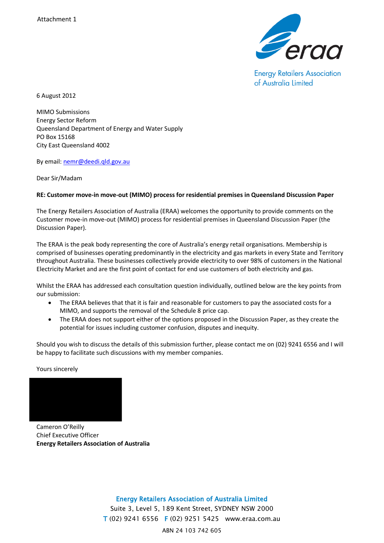

**Energy Retailers Association** of Australia Limited

6 August 2012

MIMO Submissions Energy Sector Reform Queensland Department of Energy and Water Supply PO Box 15168 City East Queensland 4002

By email: [nemr@deedi.qld.gov.au](mailto:nemr@deedi.qld.gov.au) 

Dear Sir/Madam

#### **RE: Customer move-in move-out (MIMO) process for residential premises in Queensland Discussion Paper**

The Energy Retailers Association of Australia (ERAA) welcomes the opportunity to provide comments on the Customer move-in move-out (MIMO) process for residential premises in Queensland Discussion Paper (the Discussion Paper)*.*

The ERAA is the peak body representing the core of Australia's energy retail organisations. Membership is comprised of businesses operating predominantly in the electricity and gas markets in every State and Territory throughout Australia. These businesses collectively provide electricity to over 98% of customers in the National Electricity Market and are the first point of contact for end use customers of both electricity and gas.

Whilst the ERAA has addressed each consultation question individually, outlined below are the key points from our submission:

- The ERAA believes that that it is fair and reasonable for customers to pay the associated costs for a MIMO, and supports the removal of the Schedule 8 price cap.
- The ERAA does not support either of the options proposed in the Discussion Paper, as they create the potential for issues including customer confusion, disputes and inequity.

Should you wish to discuss the details of this submission further, please contact me on (02) 9241 6556 and I will be happy to facilitate such discussions with my member companies.

Yours sincerely



Cameron O'Reilly Chief Executive Officer **Energy Retailers Association of Australia** 

> Energy Retailers Association of Australia Limited Suite 3, Level 5, 189 Kent Street, SYDNEY NSW 2000 T (02) 9241 6556 F (02) 9251 5425 www.eraa.com.au ABN 24 103 742 605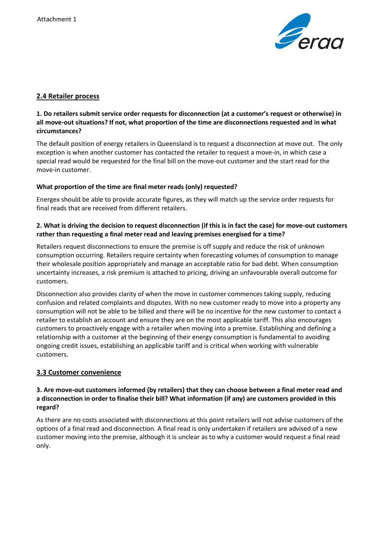

### **2.4 Retailer process**

## **1. Do retailers submit service order requests for disconnection (at a customer's request or otherwise) in all move-out situations? If not, what proportion of the time are disconnections requested and in what circumstances?**

The default position of energy retailers in Queensland is to request a disconnection at move out. The only exception is when another customer has contacted the retailer to request a move-in, in which case a special read would be requested for the final bill on the move-out customer and the start read for the move-in customer.

#### **What proportion of the time are final meter reads (only) requested?**

Energex should be able to provide accurate figures, as they will match up the service order requests for final reads that are received from different retailers.

## **2. What is driving the decision to request disconnection (if this is in fact the case) for move-out customers rather than requesting a final meter read and leaving premises energised for a time?**

Retailers request disconnections to ensure the premise is off supply and reduce the risk of unknown consumption occurring. Retailers require certainty when forecasting volumes of consumption to manage their wholesale position appropriately and manage an acceptable ratio for bad debt. When consumption uncertainty increases, a risk premium is attached to pricing, driving an unfavourable overall outcome for customers.

Disconnection also provides clarity of when the move in customer commences taking supply, reducing confusion and related complaints and disputes. With no new customer ready to move into a property any consumption will not be able to be billed and there will be no incentive for the new customer to contact a retailer to establish an account and ensure they are on the most applicable tariff. This also encourages customers to proactively engage with a retailer when moving into a premise. Establishing and defining a relationship with a customer at the beginning of their energy consumption is fundamental to avoiding ongoing credit issues, establishing an applicable tariff and is critical when working with vulnerable customers.

## **3.3 Customer convenience**

### **3. Are move-out customers informed (by retailers) that they can choose between a final meter read and a disconnection in order to finalise their bill? What information (if any) are customers provided in this regard?**

As there are no costs associated with disconnections at this point retailers will not advise customers of the options of a final read and disconnection. A final read is only undertaken if retailers are advised of a new customer moving into the premise, although it is unclear as to why a customer would request a final read only.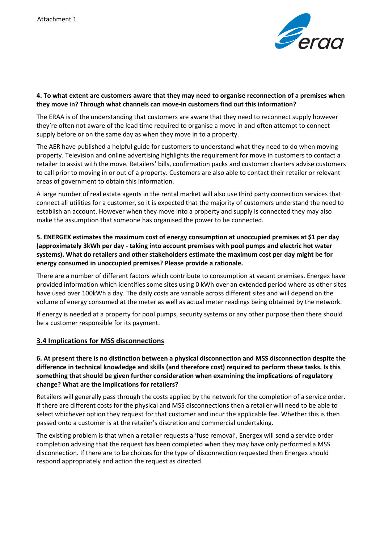

#### **4. To what extent are customers aware that they may need to organise reconnection of a premises when they move in? Through what channels can move-in customers find out this information?**

The ERAA is of the understanding that customers are aware that they need to reconnect supply however they're often not aware of the lead time required to organise a move in and often attempt to connect supply before or on the same day as when they move in to a property.

The AER have published a helpful guide for customers to understand what they need to do when moving property. Television and online advertising highlights the requirement for move in customers to contact a retailer to assist with the move. Retailers' bills, confirmation packs and customer charters advise customers to call prior to moving in or out of a property. Customers are also able to contact their retailer or relevant areas of government to obtain this information.

A large number of real estate agents in the rental market will also use third party connection services that connect all utilities for a customer, so it is expected that the majority of customers understand the need to establish an account. However when they move into a property and supply is connected they may also make the assumption that someone has organised the power to be connected.

## **5. ENERGEX estimates the maximum cost of energy consumption at unoccupied premises at \$1 per day (approximately 3kWh per day - taking into account premises with pool pumps and electric hot water systems). What do retailers and other stakeholders estimate the maximum cost per day might be for energy consumed in unoccupied premises? Please provide a rationale.**

There are a number of different factors which contribute to consumption at vacant premises. Energex have provided information which identifies some sites using 0 kWh over an extended period where as other sites have used over 100kWh a day. The daily costs are variable across different sites and will depend on the volume of energy consumed at the meter as well as actual meter readings being obtained by the network.

If energy is needed at a property for pool pumps, security systems or any other purpose then there should be a customer responsible for its payment.

## **3.4 Implications for MSS disconnections**

## **6. At present there is no distinction between a physical disconnection and MSS disconnection despite the difference in technical knowledge and skills (and therefore cost) required to perform these tasks. Is this something that should be given further consideration when examining the implications of regulatory change? What are the implications for retailers?**

Retailers will generally pass through the costs applied by the network for the completion of a service order. If there are different costs for the physical and MSS disconnections then a retailer will need to be able to select whichever option they request for that customer and incur the applicable fee. Whether this is then passed onto a customer is at the retailer's discretion and commercial undertaking.

The existing problem is that when a retailer requests a 'fuse removal', Energex will send a service order completion advising that the request has been completed when they may have only performed a MSS disconnection. If there are to be choices for the type of disconnection requested then Energex should respond appropriately and action the request as directed.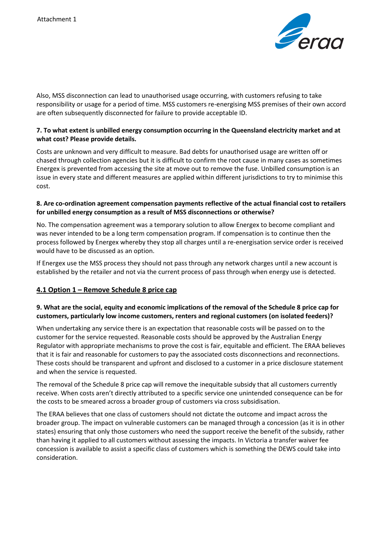

Also, MSS disconnection can lead to unauthorised usage occurring, with customers refusing to take responsibility or usage for a period of time. MSS customers re-energising MSS premises of their own accord are often subsequently disconnected for failure to provide acceptable ID.

### **7. To what extent is unbilled energy consumption occurring in the Queensland electricity market and at what cost? Please provide details.**

Costs are unknown and very difficult to measure. Bad debts for unauthorised usage are written off or chased through collection agencies but it is difficult to confirm the root cause in many cases as sometimes Energex is prevented from accessing the site at move out to remove the fuse. Unbilled consumption is an issue in every state and different measures are applied within different jurisdictions to try to minimise this cost.

#### **8. Are co-ordination agreement compensation payments reflective of the actual financial cost to retailers for unbilled energy consumption as a result of MSS disconnections or otherwise?**

No. The compensation agreement was a temporary solution to allow Energex to become compliant and was never intended to be a long term compensation program. If compensation is to continue then the process followed by Energex whereby they stop all charges until a re-energisation service order is received would have to be discussed as an option.

If Energex use the MSS process they should not pass through any network charges until a new account is established by the retailer and not via the current process of pass through when energy use is detected.

# **4.1 Option 1 – Remove Schedule 8 price cap**

## **9. What are the social, equity and economic implications of the removal of the Schedule 8 price cap for customers, particularly low income customers, renters and regional customers (on isolated feeders)?**

When undertaking any service there is an expectation that reasonable costs will be passed on to the customer for the service requested. Reasonable costs should be approved by the Australian Energy Regulator with appropriate mechanisms to prove the cost is fair, equitable and efficient. The ERAA believes that it is fair and reasonable for customers to pay the associated costs disconnections and reconnections. These costs should be transparent and upfront and disclosed to a customer in a price disclosure statement and when the service is requested.

The removal of the Schedule 8 price cap will remove the inequitable subsidy that all customers currently receive. When costs aren't directly attributed to a specific service one unintended consequence can be for the costs to be smeared across a broader group of customers via cross subsidisation.

The ERAA believes that one class of customers should not dictate the outcome and impact across the broader group. The impact on vulnerable customers can be managed through a concession (as it is in other states) ensuring that only those customers who need the support receive the benefit of the subsidy, rather than having it applied to all customers without assessing the impacts. In Victoria a transfer waiver fee concession is available to assist a specific class of customers which is something the DEWS could take into consideration.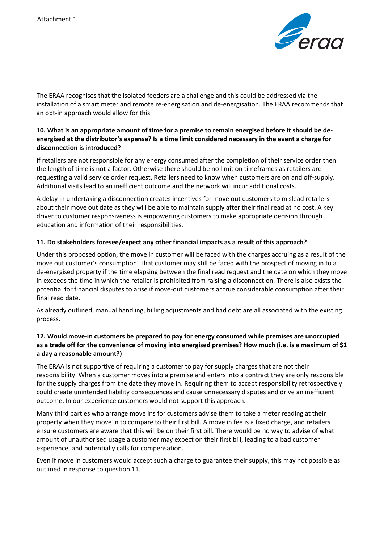

The ERAA recognises that the isolated feeders are a challenge and this could be addressed via the installation of a smart meter and remote re-energisation and de-energisation. The ERAA recommends that an opt-in approach would allow for this.

## **10. What is an appropriate amount of time for a premise to remain energised before it should be deenergised at the distributor's expense? Is a time limit considered necessary in the event a charge for disconnection is introduced?**

If retailers are not responsible for any energy consumed after the completion of their service order then the length of time is not a factor. Otherwise there should be no limit on timeframes as retailers are requesting a valid service order request. Retailers need to know when customers are on and off-supply. Additional visits lead to an inefficient outcome and the network will incur additional costs.

A delay in undertaking a disconnection creates incentives for move out customers to mislead retailers about their move out date as they will be able to maintain supply after their final read at no cost. A key driver to customer responsiveness is empowering customers to make appropriate decision through education and information of their responsibilities.

#### **11. Do stakeholders foresee/expect any other financial impacts as a result of this approach?**

Under this proposed option, the move in customer will be faced with the charges accruing as a result of the move out customer's consumption. That customer may still be faced with the prospect of moving in to a de-energised property if the time elapsing between the final read request and the date on which they move in exceeds the time in which the retailer is prohibited from raising a disconnection. There is also exists the potential for financial disputes to arise if move-out customers accrue considerable consumption after their final read date.

As already outlined, manual handling, billing adjustments and bad debt are all associated with the existing process.

## **12. Would move-in customers be prepared to pay for energy consumed while premises are unoccupied as a trade off for the convenience of moving into energised premises? How much (i.e. is a maximum of \$1 a day a reasonable amount?)**

The ERAA is not supportive of requiring a customer to pay for supply charges that are not their responsibility. When a customer moves into a premise and enters into a contract they are only responsible for the supply charges from the date they move in. Requiring them to accept responsibility retrospectively could create unintended liability consequences and cause unnecessary disputes and drive an inefficient outcome. In our experience customers would not support this approach.

Many third parties who arrange move ins for customers advise them to take a meter reading at their property when they move in to compare to their first bill. A move in fee is a fixed charge, and retailers ensure customers are aware that this will be on their first bill. There would be no way to advise of what amount of unauthorised usage a customer may expect on their first bill, leading to a bad customer experience, and potentially calls for compensation.

Even if move in customers would accept such a charge to guarantee their supply, this may not possible as outlined in response to question 11.